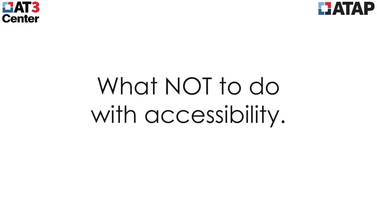



# What NOT to do with accessibility.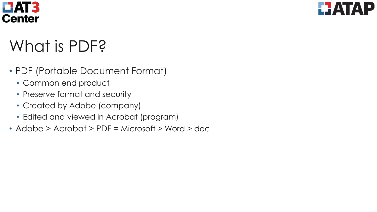



# What is PDF?

- PDF (Portable Document Format)
	- Common end product
	- Preserve format and security
	- Created by Adobe (company)
	- Edited and viewed in Acrobat (program)
- Adobe > Acrobat > PDF = Microsoft > Word > doc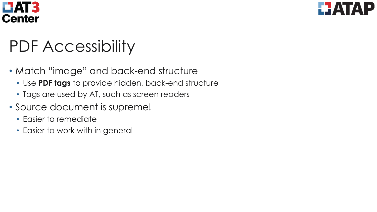



# PDF Accessibility

- Match "image" and back-end structure
	- Use **PDF tags** to provide hidden, back-end structure
	- Tags are used by AT, such as screen readers
- Source document is supreme!
	- Easier to remediate
	- Easier to work with in general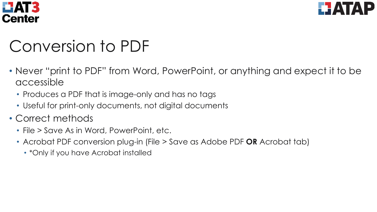



# Conversion to PDF

- Never "print to PDF" from Word, PowerPoint, or anything and expect it to be accessible
	- Produces a PDF that is image-only and has no tags
	- Useful for print-only documents, not digital documents
- Correct methods
	- File > Save As in Word, PowerPoint, etc.
	- Acrobat PDF conversion plug-in (File > Save as Adobe PDF **OR** Acrobat tab)
		- \*Only if you have Acrobat installed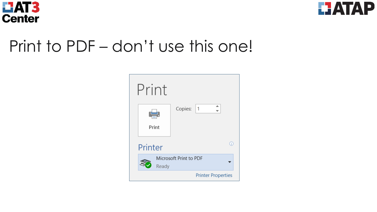



#### Print to PDF – don't use this one!

| Print   |                           |
|---------|---------------------------|
| Print   | ∸<br>Copies:<br>$\vert$ 1 |
| Printer | ⋒                         |
| Ready   | Microsoft Print to PDF    |
|         | <b>Printer Properties</b> |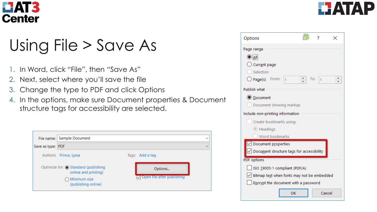



## Using File > Save As

- In Word, click "File", then "Save As"
- 2. Next, select where you'll save the file
- 3. Change the type to PDF and click Options
- 4. In the options, make sure Document properties & Document structure tags for accessibility are selected.



| Options                                            |                                      |        |  |  |  |  |
|----------------------------------------------------|--------------------------------------|--------|--|--|--|--|
| Page range                                         |                                      |        |  |  |  |  |
| $\bigcirc$ aii                                     |                                      |        |  |  |  |  |
| $\bigcirc$ Current page                            |                                      |        |  |  |  |  |
| Selection                                          |                                      |        |  |  |  |  |
| $\div$<br>$\bigcirc$ Page(s) From:<br>I1           | To:                                  | 1      |  |  |  |  |
| Publish what                                       |                                      |        |  |  |  |  |
| <b>O</b> Document                                  |                                      |        |  |  |  |  |
| Document showing markup                            |                                      |        |  |  |  |  |
| Include non-printing information                   |                                      |        |  |  |  |  |
| Create bookmarks using:                            |                                      |        |  |  |  |  |
| C Headings                                         |                                      |        |  |  |  |  |
| Word bookmarks                                     |                                      |        |  |  |  |  |
| $\vee$ Document properties                         |                                      |        |  |  |  |  |
| $\angle$ Document structure tags for accessibility |                                      |        |  |  |  |  |
| <b>PDF</b> options                                 |                                      |        |  |  |  |  |
| ISO 19005-1 compliant (PDF/A)                      |                                      |        |  |  |  |  |
| $\vee$ Bitmap text when fonts may not be embedded  |                                      |        |  |  |  |  |
|                                                    | Encrypt the document with a password |        |  |  |  |  |
| OK                                                 |                                      | Cancel |  |  |  |  |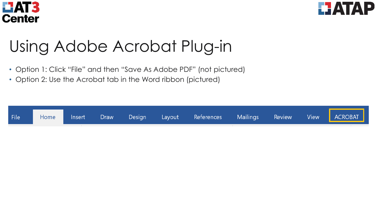



## Using Adobe Acrobat Plug-in

- Option 1: Click "File" and then "Save As Adobe PDF" (not pictured)
- Option 2: Use the Acrobat tab in the Word ribbon (pictured)

| Home Insert Draw Design Layout References Mailings Review View ACROBAT | File |  |  |  |  |  |  |  |  |  |  |
|------------------------------------------------------------------------|------|--|--|--|--|--|--|--|--|--|--|
|------------------------------------------------------------------------|------|--|--|--|--|--|--|--|--|--|--|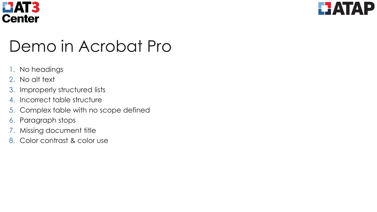



## Demo in Acrobat Pro

- 1. No headings
- 2. No alt text
- 3. Improperly structured lists
- 4. Incorrect table structure
- 5. Complex table with no scope defined
- 6. Paragraph stops
- 7. Missing document title
- 8. Color contrast & color use